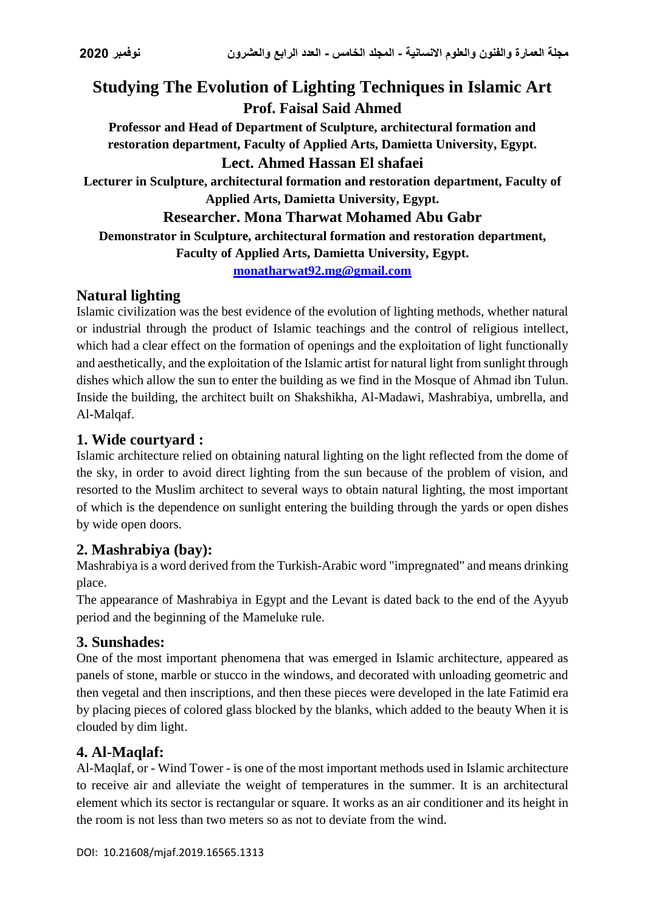# **Studying The Evolution of Lighting Techniques in Islamic Art Prof. Faisal Said Ahmed**

**Professor and Head of Department of Sculpture, architectural formation and restoration department, Faculty of Applied Arts, Damietta University, Egypt.**

#### **Lect. Ahmed Hassan El shafaei**

**Lecturer in Sculpture, architectural formation and restoration department, Faculty of Applied Arts, Damietta University, Egypt.**

#### **Researcher. Mona Tharwat Mohamed Abu Gabr**

**Demonstrator in Sculpture, architectural formation and restoration department,** 

**Faculty of Applied Arts, Damietta University, Egypt.**

**[monatharwat92.mg@gmail.com](mailto:monatharwat92.mg@gmail.com)**

## **Natural lighting**

Islamic civilization was the best evidence of the evolution of lighting methods, whether natural or industrial through the product of Islamic teachings and the control of religious intellect, which had a clear effect on the formation of openings and the exploitation of light functionally and aesthetically, and the exploitation of the Islamic artist for natural light from sunlight through dishes which allow the sun to enter the building as we find in the Mosque of Ahmad ibn Tulun. Inside the building, the architect built on Shakshikha, Al-Madawi, Mashrabiya, umbrella, and Al-Malqaf.

### **1. Wide courtyard :**

Islamic architecture relied on obtaining natural lighting on the light reflected from the dome of the sky, in order to avoid direct lighting from the sun because of the problem of vision, and resorted to the Muslim architect to several ways to obtain natural lighting, the most important of which is the dependence on sunlight entering the building through the yards or open dishes by wide open doors.

### **2. Mashrabiya (bay):**

Mashrabiya is a word derived from the Turkish-Arabic word "impregnated" and means drinking place.

The appearance of Mashrabiya in Egypt and the Levant is dated back to the end of the Ayyub period and the beginning of the Mameluke rule.

### **3. Sunshades:**

One of the most important phenomena that was emerged in Islamic architecture, appeared as panels of stone, marble or stucco in the windows, and decorated with unloading geometric and then vegetal and then inscriptions, and then these pieces were developed in the late Fatimid era by placing pieces of colored glass blocked by the blanks, which added to the beauty When it is clouded by dim light.

## **4. Al-Maqlaf:**

Al-Maqlaf, or - Wind Tower - is one of the most important methods used in Islamic architecture to receive air and alleviate the weight of temperatures in the summer. It is an architectural element which its sector is rectangular or square. It works as an air conditioner and its height in the room is not less than two meters so as not to deviate from the wind.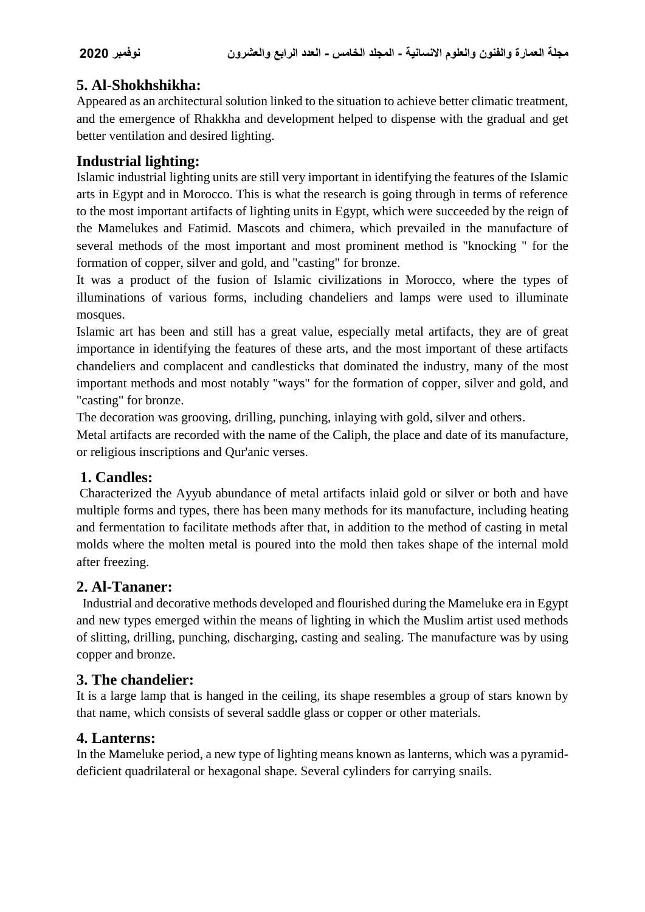## **5. Al-Shokhshikha:**

Appeared as an architectural solution linked to the situation to achieve better climatic treatment, and the emergence of Rhakkha and development helped to dispense with the gradual and get better ventilation and desired lighting.

## **Industrial lighting:**

Islamic industrial lighting units are still very important in identifying the features of the Islamic arts in Egypt and in Morocco. This is what the research is going through in terms of reference to the most important artifacts of lighting units in Egypt, which were succeeded by the reign of the Mamelukes and Fatimid. Mascots and chimera, which prevailed in the manufacture of several methods of the most important and most prominent method is "knocking " for the formation of copper, silver and gold, and "casting" for bronze.

It was a product of the fusion of Islamic civilizations in Morocco, where the types of illuminations of various forms, including chandeliers and lamps were used to illuminate mosques.

Islamic art has been and still has a great value, especially metal artifacts, they are of great importance in identifying the features of these arts, and the most important of these artifacts chandeliers and complacent and candlesticks that dominated the industry, many of the most important methods and most notably "ways" for the formation of copper, silver and gold, and "casting" for bronze.

The decoration was grooving, drilling, punching, inlaying with gold, silver and others.

Metal artifacts are recorded with the name of the Caliph, the place and date of its manufacture, or religious inscriptions and Qur'anic verses.

## **1. Candles:**

Characterized the Ayyub abundance of metal artifacts inlaid gold or silver or both and have multiple forms and types, there has been many methods for its manufacture, including heating and fermentation to facilitate methods after that, in addition to the method of casting in metal molds where the molten metal is poured into the mold then takes shape of the internal mold after freezing.

## **2. Al-Tananer:**

Industrial and decorative methods developed and flourished during the Mameluke era in Egypt and new types emerged within the means of lighting in which the Muslim artist used methods of slitting, drilling, punching, discharging, casting and sealing. The manufacture was by using copper and bronze.

## **3. The chandelier:**

It is a large lamp that is hanged in the ceiling, its shape resembles a group of stars known by that name, which consists of several saddle glass or copper or other materials.

## **4. Lanterns:**

In the Mameluke period, a new type of lighting means known as lanterns, which was a pyramiddeficient quadrilateral or hexagonal shape. Several cylinders for carrying snails.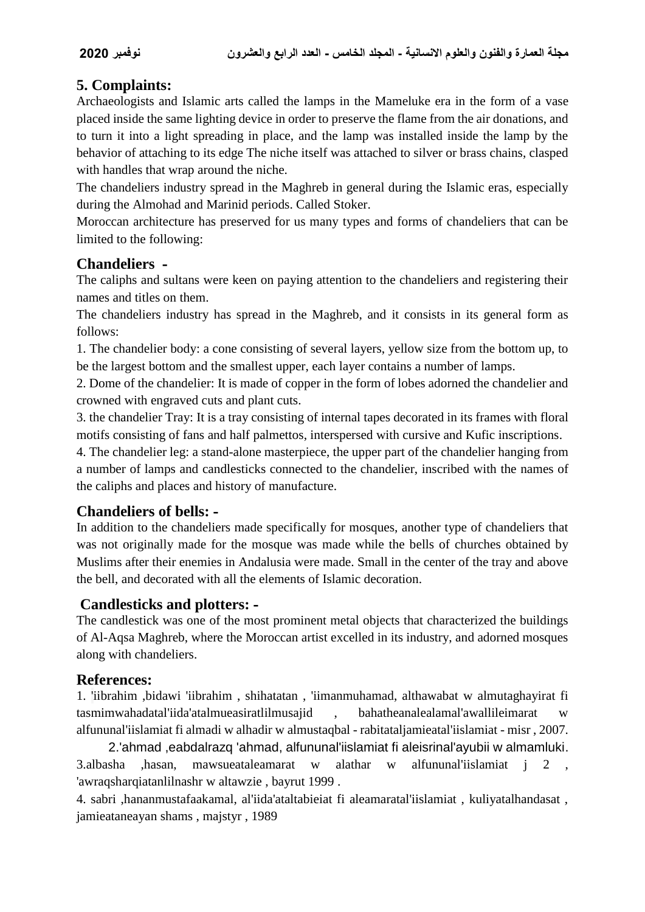## **5. Complaints:**

Archaeologists and Islamic arts called the lamps in the Mameluke era in the form of a vase placed inside the same lighting device in order to preserve the flame from the air donations, and to turn it into a light spreading in place, and the lamp was installed inside the lamp by the behavior of attaching to its edge The niche itself was attached to silver or brass chains, clasped with handles that wrap around the niche.

The chandeliers industry spread in the Maghreb in general during the Islamic eras, especially during the Almohad and Marinid periods. Called Stoker.

Moroccan architecture has preserved for us many types and forms of chandeliers that can be limited to the following:

#### **Chandeliers -**

The caliphs and sultans were keen on paying attention to the chandeliers and registering their names and titles on them.

The chandeliers industry has spread in the Maghreb, and it consists in its general form as follows:

1. The chandelier body: a cone consisting of several layers, yellow size from the bottom up, to be the largest bottom and the smallest upper, each layer contains a number of lamps.

2. Dome of the chandelier: It is made of copper in the form of lobes adorned the chandelier and crowned with engraved cuts and plant cuts.

3. the chandelier Tray: It is a tray consisting of internal tapes decorated in its frames with floral motifs consisting of fans and half palmettos, interspersed with cursive and Kufic inscriptions.

4. The chandelier leg: a stand-alone masterpiece, the upper part of the chandelier hanging from a number of lamps and candlesticks connected to the chandelier, inscribed with the names of the caliphs and places and history of manufacture.

### **Chandeliers of bells: -**

In addition to the chandeliers made specifically for mosques, another type of chandeliers that was not originally made for the mosque was made while the bells of churches obtained by Muslims after their enemies in Andalusia were made. Small in the center of the tray and above the bell, and decorated with all the elements of Islamic decoration.

### **Candlesticks and plotters: -**

The candlestick was one of the most prominent metal objects that characterized the buildings of Al-Aqsa Maghreb, where the Moroccan artist excelled in its industry, and adorned mosques along with chandeliers.

### **References:**

1. 'iibrahim ,bidawi 'iibrahim , shihatatan , 'iimanmuhamad, althawabat w almutaghayirat fi tasmimwahadatal'iida'atalmueasiratlilmusajid , bahatheanalealamal'awallileimarat w alfununal'iislamiat fi almadi w alhadir w almustaqbal - rabitataljamieatal'iislamiat - misr , 2007.

2.'ahmad ,eabdalrazq 'ahmad, alfununal'iislamiat fi aleisrinal'ayubii w almamluki. 3.albasha ,hasan, mawsueataleamarat w alathar w alfununal'iislamiat j 2 , 'awraqsharqiatanlilnashr w altawzie , bayrut 1999 .

4. sabri ,hananmustafaakamal, al'iida'ataltabieiat fi aleamaratal'iislamiat , kuliyatalhandasat , jamieataneayan shams , majstyr , 1989